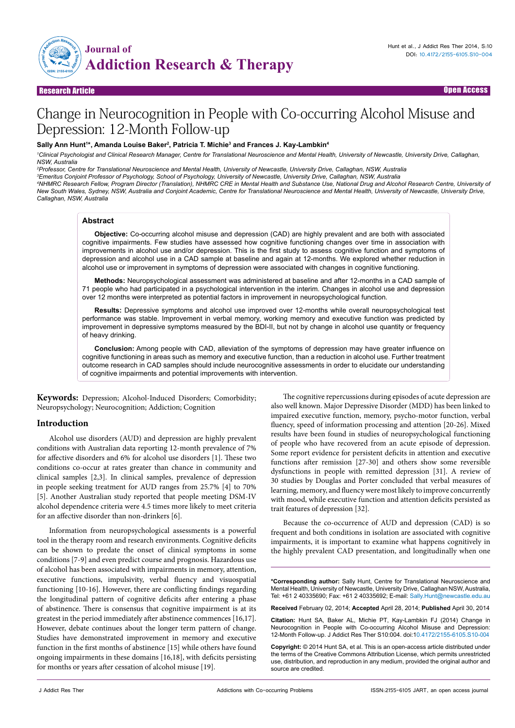

Research Article Open Access

# Change in Neurocognition in People with Co-occurring Alcohol Misuse and Depression: 12-Month Follow-up

## Sally Ann Hunt'\*, Amanda Louise Baker<sup>2</sup>, Patricia T. Michie<sup>3</sup> and Frances J. Kay-Lambkin<sup>4</sup>

*1 Clinical Psychologist and Clinical Research Manager, Centre for Translational Neuroscience and Mental Health, University of Newcastle, University Drive, Callaghan, NSW, Australia* 

*2 Professor, Centre for Translational Neuroscience and Mental Health, University of Newcastle, University Drive, Callaghan, NSW, Australia* 

*3 Emeritus Conjoint Professor of Psychology, School of Psychology, University of Newcastle, University Drive, Callaghan, NSW, Australia*

*4 NHMRC Research Fellow, Program Director (Translation), NHMRC CRE in Mental Health and Substance Use, National Drug and Alcohol Research Centre, University of New South Wales, Sydney, NSW, Australia and Conjoint Academic, Centre for Translational Neuroscience and Mental Health, University of Newcastle, University Drive, Callaghan, NSW, Australia* 

#### **Abstract**

**Objective:** Co-occurring alcohol misuse and depression (CAD) are highly prevalent and are both with associated cognitive impairments. Few studies have assessed how cognitive functioning changes over time in association with improvements in alcohol use and/or depression. This is the first study to assess cognitive function and symptoms of depression and alcohol use in a CAD sample at baseline and again at 12-months. We explored whether reduction in alcohol use or improvement in symptoms of depression were associated with changes in cognitive functioning.

**Methods:** Neuropsychological assessment was administered at baseline and after 12-months in a CAD sample of 71 people who had participated in a psychological intervention in the interim. Changes in alcohol use and depression over 12 months were interpreted as potential factors in improvement in neuropsychological function.

**Results:** Depressive symptoms and alcohol use improved over 12-months while overall neuropsychological test performance was stable. Improvement in verbal memory, working memory and executive function was predicted by improvement in depressive symptoms measured by the BDI-II, but not by change in alcohol use quantity or frequency of heavy drinking.

**Conclusion:** Among people with CAD, alleviation of the symptoms of depression may have greater influence on cognitive functioning in areas such as memory and executive function, than a reduction in alcohol use. Further treatment outcome research in CAD samples should include neurocognitive assessments in order to elucidate our understanding of cognitive impairments and potential improvements with intervention.

**Keywords:** Depression; Alcohol-Induced Disorders; Comorbidity; Neuropsychology; Neurocognition; Addiction; Cognition

## **Introduction**

Alcohol use disorders (AUD) and depression are highly prevalent conditions with Australian data reporting 12-month prevalence of 7% for affective disorders and 6% for alcohol use disorders [1]. These two conditions co-occur at rates greater than chance in community and clinical samples [2,3]. In clinical samples, prevalence of depression in people seeking treatment for AUD ranges from 25.7% [4] to 70% [5]. Another Australian study reported that people meeting DSM-IV alcohol dependence criteria were 4.5 times more likely to meet criteria for an affective disorder than non-drinkers [6].

Information from neuropsychological assessments is a powerful tool in the therapy room and research environments. Cognitive deficits can be shown to predate the onset of clinical symptoms in some conditions [7-9] and even predict course and prognosis. Hazardous use of alcohol has been associated with impairments in memory, attention, executive functions, impulsivity, verbal fluency and visuospatial functioning [10-16]. However, there are conflicting findings regarding the longitudinal pattern of cognitive deficits after entering a phase of abstinence. There is consensus that cognitive impairment is at its greatest in the period immediately after abstinence commences [16,17]. However, debate continues about the longer term pattern of change. Studies have demonstrated improvement in memory and executive function in the first months of abstinence [15] while others have found ongoing impairments in these domains [16,18], with deficits persisting for months or years after cessation of alcohol misuse [19].

The cognitive repercussions during episodes of acute depression are also well known. Major Depressive Disorder (MDD) has been linked to impaired executive function, memory, psycho-motor function, verbal fluency, speed of information processing and attention [20-26]. Mixed results have been found in studies of neuropsychological functioning of people who have recovered from an acute episode of depression. Some report evidence for persistent deficits in attention and executive functions after remission [27-30] and others show some reversible dysfunctions in people with remitted depression [31]. A review of 30 studies by Douglas and Porter concluded that verbal measures of learning, memory, and fluency were most likely to improve concurrently with mood, while executive function and attention deficits persisted as trait features of depression [32].

Because the co-occurrence of AUD and depression (CAD) is so frequent and both conditions in isolation are associated with cognitive impairments, it is important to examine what happens cognitively in the highly prevalent CAD presentation, and longitudinally when one

**\*Corresponding author:** Sally Hunt, Centre for Translational Neuroscience and Mental Health, University of Newcastle, University Drive, Callaghan NSW, Australia, Tel: +61 2 40335690; Fax: +61 2 40335692; E-mail: Sally.Hunt@newcastle.edu.au

**Received** February 02, 2014; **Accepted** April 28, 2014; **Published** April 30, 2014

**Citation:** Hunt SA, Baker AL, Michie PT, Kay-Lambkin FJ (2014) Change in Neurocognition in People with Co-occurring Alcohol Misuse and Depression: 12-Month Follow-up. J Addict Res Ther S10:004. doi:10.4172/2155-6105.S10-004

**Copyright:** © 2014 Hunt SA, et al. This is an open-access article distributed under the terms of the Creative Commons Attribution License, which permits unrestricted use, distribution, and reproduction in any medium, provided the original author and source are credited.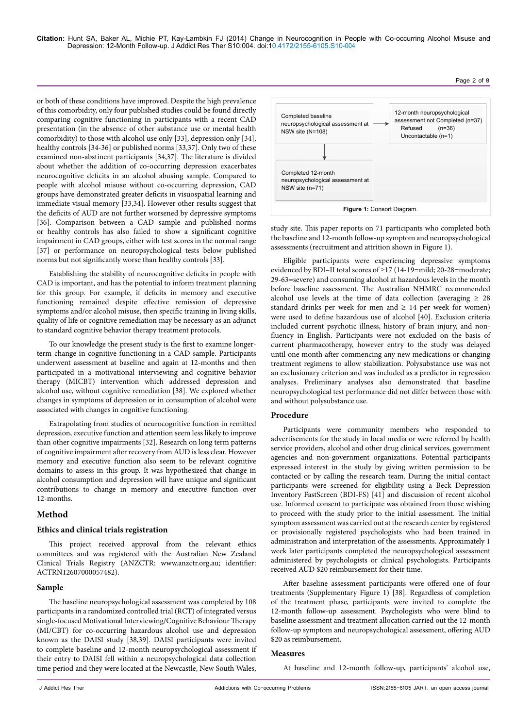or both of these conditions have improved. Despite the high prevalence of this comorbidity, only four published studies could be found directly comparing cognitive functioning in participants with a recent CAD presentation (in the absence of other substance use or mental health comorbidity) to those with alcohol use only [33], depression only [34], healthy controls [34-36] or published norms [33,37]. Only two of these examined non-abstinent participants [34,37]. The literature is divided about whether the addition of co-occurring depression exacerbates neurocognitive deficits in an alcohol abusing sample. Compared to people with alcohol misuse without co-occurring depression, CAD groups have demonstrated greater deficits in visuospatial learning and immediate visual memory [33,34]. However other results suggest that the deficits of AUD are not further worsened by depressive symptoms [36]. Comparison between a CAD sample and published norms or healthy controls has also failed to show a significant cognitive impairment in CAD groups, either with test scores in the normal range [37] or performance on neuropsychological tests below published norms but not significantly worse than healthy controls [33].

Establishing the stability of neurocognitive deficits in people with CAD is important, and has the potential to inform treatment planning for this group. For example, if deficits in memory and executive functioning remained despite effective remission of depressive symptoms and/or alcohol misuse, then specific training in living skills, quality of life or cognitive remediation may be necessary as an adjunct to standard cognitive behavior therapy treatment protocols.

To our knowledge the present study is the first to examine longerterm change in cognitive functioning in a CAD sample. Participants underwent assessment at baseline and again at 12-months and then participated in a motivational interviewing and cognitive behavior therapy (MICBT) intervention which addressed depression and alcohol use, without cognitive remediation [38]. We explored whether changes in symptoms of depression or in consumption of alcohol were associated with changes in cognitive functioning.

Extrapolating from studies of neurocognitive function in remitted depression, executive function and attention seem less likely to improve than other cognitive impairments [32]. Research on long term patterns of cognitive impairment after recovery from AUD is less clear. However memory and executive function also seem to be relevant cognitive domains to assess in this group. It was hypothesized that change in alcohol consumption and depression will have unique and significant contributions to change in memory and executive function over 12-months.

# **Method**

## **Ethics and clinical trials registration**

This project received approval from the relevant ethics committees and was registered with the Australian New Zealand Clinical Trials Registry (ANZCTR: [www.anzctr.org.au;](file:///E:\www.anzctr.org.au) identifier: ACTRN12607000057482).

## **Sample**

The baseline neuropsychological assessment was completed by 108 participants in a randomized controlled trial (RCT) of integrated versus single-focused Motivational Interviewing/Cognitive Behaviour Therapy (MI/CBT) for co-occurring hazardous alcohol use and depression known as the DAISI study [38,39]. DAISI participants were invited to complete baseline and 12-month neuropsychological assessment if their entry to DAISI fell within a neuropsychological data collection time period and they were located at the Newcastle, New South Wales,



Page 2 of 8

study site. This paper reports on 71 participants who completed both the baseline and 12-month follow-up symptom and neuropsychological assessments (recruitment and attrition shown in Figure 1).

Eligible participants were experiencing depressive symptoms evidenced by BDI–II total scores of ≥17 (14-19=mild; 20-28=moderate; 29-63=severe) and consuming alcohol at hazardous levels in the month before baseline assessment. The Australian NHMRC recommended alcohol use levels at the time of data collection (averaging  $\geq 28$ standard drinks per week for men and  $\geq 14$  per week for women) were used to define hazardous use of alcohol [40]. Exclusion criteria included current psychotic illness, history of brain injury, and nonfluency in English. Participants were not excluded on the basis of current pharmacotherapy, however entry to the study was delayed until one month after commencing any new medications or changing treatment regimens to allow stabilization. Polysubstance use was not an exclusionary criterion and was included as a predictor in regression analyses. Preliminary analyses also demonstrated that baseline neuropsychological test performance did not differ between those with and without polysubstance use.

## **Procedure**

Participants were community members who responded to advertisements for the study in local media or were referred by health service providers, alcohol and other drug clinical services, government agencies and non-government organizations. Potential participants expressed interest in the study by giving written permission to be contacted or by calling the research team. During the initial contact participants were screened for eligibility using a Beck Depression Inventory FastScreen (BDI-FS) [41] and discussion of recent alcohol use. Informed consent to participate was obtained from those wishing to proceed with the study prior to the initial assessment. The initial symptom assessment was carried out at the research center by registered or provisionally registered psychologists who had been trained in administration and interpretation of the assessments. Approximately 1 week later participants completed the neuropsychological assessment administered by psychologists or clinical psychologists. Participants received AUD \$20 reimbursement for their time.

After baseline assessment participants were offered one of four treatments (Supplementary Figure 1) [38]. Regardless of completion of the treatment phase, participants were invited to complete the 12-month follow-up assessment. Psychologists who were blind to baseline assessment and treatment allocation carried out the 12-month follow-up symptom and neuropsychological assessment, offering AUD \$20 as reimbursement.

## **Measures**

At baseline and 12-month follow-up, participants' alcohol use,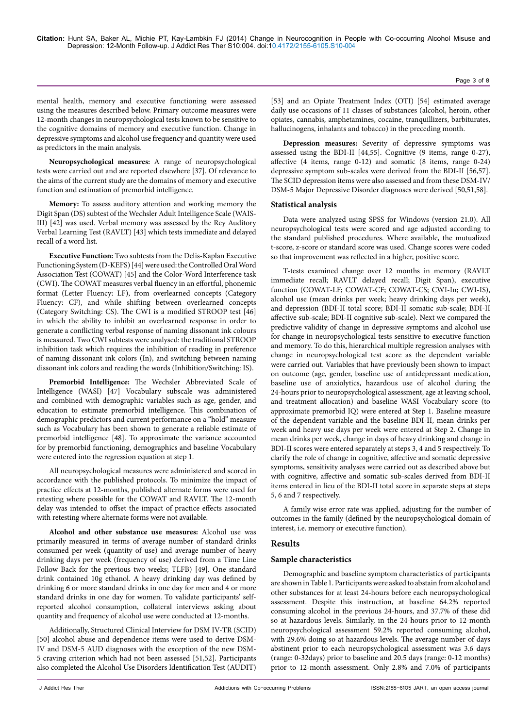mental health, memory and executive functioning were assessed using the measures described below. Primary outcome measures were 12-month changes in neuropsychological tests known to be sensitive to the cognitive domains of memory and executive function. Change in depressive symptoms and alcohol use frequency and quantity were used as predictors in the main analysis.

**Neuropsychological measures:** A range of neuropsychological tests were carried out and are reported elsewhere [37]. Of relevance to the aims of the current study are the domains of memory and executive function and estimation of premorbid intelligence.

**Memory:** To assess auditory attention and working memory the Digit Span (DS) subtest of the Wechsler Adult Intelligence Scale (WAIS-III) [42] was used. Verbal memory was assessed by the Rey Auditory Verbal Learning Test (RAVLT) [43] which tests immediate and delayed recall of a word list.

**Executive Function:** Two subtests from the Delis-Kaplan Executive Functioning System (D-KEFS) [44] were used: the Controlled Oral Word Association Test (COWAT) [45] and the Color-Word Interference task (CWI). The COWAT measures verbal fluency in an effortful, phonemic format (Letter Fluency: LF), from overlearned concepts (Category Fluency: CF), and while shifting between overlearned concepts (Category Switching: CS). The CWI is a modified STROOP test [46] in which the ability to inhibit an overlearned response in order to generate a conflicting verbal response of naming dissonant ink colours is measured. Two CWI subtests were analysed: the traditional STROOP inhibition task which requires the inhibition of reading in preference of naming dissonant ink colors (In), and switching between naming dissonant ink colors and reading the words (Inhibition/Switching: IS).

**Premorbid Intelligence:** The Wechsler Abbreviated Scale of Intelligence (WASI) [47] Vocabulary subscale was administered and combined with demographic variables such as age, gender, and education to estimate premorbid intelligence. This combination of demographic predictors and current performance on a "hold" measure such as Vocabulary has been shown to generate a reliable estimate of premorbid intelligence [48]. To approximate the variance accounted for by premorbid functioning, demographics and baseline Vocabulary were entered into the regression equation at step 1.

All neuropsychological measures were administered and scored in accordance with the published protocols. To minimize the impact of practice effects at 12-months, published alternate forms were used for retesting where possible for the COWAT and RAVLT. The 12-month delay was intended to offset the impact of practice effects associated with retesting where alternate forms were not available.

**Alcohol and other substance use measures:** Alcohol use was primarily measured in terms of average number of standard drinks consumed per week (quantity of use) and average number of heavy drinking days per week (frequency of use) derived from a Time Line Follow Back for the previous two weeks; TLFB) [49]. One standard drink contained 10g ethanol. A heavy drinking day was defined by drinking 6 or more standard drinks in one day for men and 4 or more standard drinks in one day for women. To validate participants' selfreported alcohol consumption, collateral interviews asking about quantity and frequency of alcohol use were conducted at 12-months.

Additionally, Structured Clinical Interview for DSM IV-TR (SCID) [50] alcohol abuse and dependence items were used to derive DSM-IV and DSM-5 AUD diagnoses with the exception of the new DSM-5 craving criterion which had not been assessed [51,52]. Participants also completed the Alcohol Use Disorders Identification Test (AUDIT)

[53] and an Opiate Treatment Index (OTI) [54] estimated average daily use occasions of 11 classes of substances (alcohol, heroin, other opiates, cannabis, amphetamines, cocaine, tranquillizers, barbiturates, hallucinogens, inhalants and tobacco) in the preceding month.

**Depression measures:** Severity of depressive symptoms was assessed using the BDI-II [44,55]. Cognitive (9 items, range 0-27), affective (4 items, range 0-12) and somatic (8 items, range 0-24) depressive symptom sub-scales were derived from the BDI-II [56,57]. The SCID depression items were also assessed and from these DSM-IV/ DSM-5 Major Depressive Disorder diagnoses were derived [50,51,58].

## **Statistical analysis**

Data were analyzed using SPSS for Windows (version 21.0). All neuropsychological tests were scored and age adjusted according to the standard published procedures. Where available, the mutualized t-score, z-score or standard score was used. Change scores were coded so that improvement was reflected in a higher, positive score.

T-tests examined change over 12 months in memory (RAVLT immediate recall; RAVLT delayed recall; Digit Span), executive function (COWAT-LF; COWAT-CF; COWAT-CS; CWI-In; CWI-IS), alcohol use (mean drinks per week; heavy drinking days per week), and depression (BDI-II total score; BDI-II somatic sub-scale; BDI-II affective sub-scale; BDI-II cognitive sub-scale). Next we compared the predictive validity of change in depressive symptoms and alcohol use for change in neuropsychological tests sensitive to executive function and memory. To do this, hierarchical multiple regression analyses with change in neuropsychological test score as the dependent variable were carried out. Variables that have previously been shown to impact on outcome (age, gender, baseline use of antidepressant medication, baseline use of anxiolytics, hazardous use of alcohol during the 24-hours prior to neuropsychological assessment, age at leaving school, and treatment allocation) and baseline WASI Vocabulary score (to approximate premorbid IQ) were entered at Step 1. Baseline measure of the dependent variable and the baseline BDI-II, mean drinks per week and heavy use days per week were entered at Step 2. Change in mean drinks per week, change in days of heavy drinking and change in BDI-II scores were entered separately at steps 3, 4 and 5 respectively. To clarify the role of change in cognitive, affective and somatic depressive symptoms, sensitivity analyses were carried out as described above but with cognitive, affective and somatic sub-scales derived from BDI-II items entered in lieu of the BDI-II total score in separate steps at steps 5, 6 and 7 respectively.

A family wise error rate was applied, adjusting for the number of outcomes in the family (defined by the neuropsychological domain of interest, i.e. memory or executive function).

# **Results**

## **Sample characteristics**

Demographic and baseline symptom characteristics of participants are shown in Table 1. Participants were asked to abstain from alcohol and other substances for at least 24-hours before each neuropsychological assessment. Despite this instruction, at baseline 64.2% reported consuming alcohol in the previous 24-hours, and 37.7% of these did so at hazardous levels. Similarly, in the 24-hours prior to 12-month neuropsychological assessment 59.2% reported consuming alcohol, with 29.6% doing so at hazardous levels. The average number of days abstinent prior to each neuropsychological assessment was 3.6 days (range: 0-32days) prior to baseline and 20.5 days (range: 0-12 months) prior to 12-month assessment. Only 2.8% and 7.0% of participants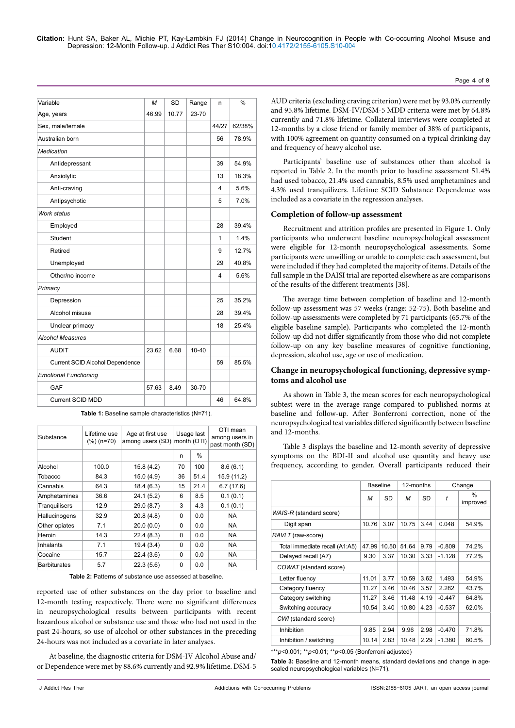| Variable                        | M     | <b>SD</b> | Range     | n     | $\frac{0}{0}$ |
|---------------------------------|-------|-----------|-----------|-------|---------------|
| Age, years                      |       | 10.77     | 23-70     |       |               |
| Sex, male/female                |       |           |           | 44/27 | 62/38%        |
| Australian born                 |       |           |           | 56    | 78.9%         |
| <b>Medication</b>               |       |           |           |       |               |
| Antidepressant                  |       |           |           | 39    | 54.9%         |
| Anxiolytic                      |       |           |           | 13    | 18.3%         |
| Anti-craving                    |       |           |           | 4     | 5.6%          |
| Antipsychotic                   |       |           |           | 5     | 7.0%          |
| Work status                     |       |           |           |       |               |
| Employed                        |       |           |           | 28    | 39.4%         |
| Student                         |       |           |           | 1     | 1.4%          |
| Retired                         |       |           |           | 9     | 12.7%         |
| Unemployed                      |       |           |           | 29    | 40.8%         |
| Other/no income                 |       |           |           | 4     | 5.6%          |
| Primacy                         |       |           |           |       |               |
| Depression                      |       |           |           | 25    | 35.2%         |
| Alcohol misuse                  |       |           |           | 28    | 39.4%         |
| Unclear primacy                 |       |           |           | 18    | 25.4%         |
| <b>Alcohol Measures</b>         |       |           |           |       |               |
| <b>AUDIT</b>                    | 23.62 | 6.68      | $10 - 40$ |       |               |
| Current SCID Alcohol Dependence |       |           |           | 59    | 85.5%         |
| <b>Emotional Functioning</b>    |       |           |           |       |               |
| GAF                             | 57.63 | 8.49      | 30-70     |       |               |
| <b>Current SCID MDD</b>         |       |           |           | 46    | 64.8%         |

**Table 1:** Baseline sample characteristics (N=71).

| Substance            | Lifetime use<br>$(\%)$ (n=70) | Age at first use<br>among users (SD) | Usage last<br>month (OTI) |               | OTI mean<br>among users in<br>past month (SD) |
|----------------------|-------------------------------|--------------------------------------|---------------------------|---------------|-----------------------------------------------|
|                      |                               |                                      | n                         | $\frac{0}{0}$ |                                               |
| Alcohol              | 100.0                         | 15.8(4.2)                            | 70                        | 100           | 8.6(6.1)                                      |
| Tobacco              | 84.3                          | 15.0(4.9)                            | 36                        | 51.4          | 15.9 (11.2)                                   |
| Cannabis             | 64.3                          | 18.4(6.3)                            | 15                        | 21.4          | 6.7(17.6)                                     |
| Amphetamines         | 36.6                          | 24.1(5.2)                            | 6                         | 8.5           | 0.1(0.1)                                      |
| <b>Tranguilisers</b> | 12.9                          | 29.0 (8.7)                           | 3                         | 4.3           | 0.1(0.1)                                      |
| Hallucinogens        | 32.9                          | 20.8(4.8)                            | 0                         | 0.0           | <b>NA</b>                                     |
| Other opiates        | 7.1                           | 20.0(0.0)                            | 0                         | 0.0           | <b>NA</b>                                     |
| Heroin               | 14.3                          | 22.4(8.3)                            | 0                         | 0.0           | <b>NA</b>                                     |
| Inhalants            | 7.1                           | 19.4(3.4)                            | 0                         | 0.0           | <b>NA</b>                                     |
| Cocaine              | 15.7                          | 22.4(3.6)                            | $\Omega$                  | 0.0           | <b>NA</b>                                     |
| <b>Barbiturates</b>  | 5.7                           | 22.3(5.6)                            | 0                         | 0.0           | <b>NA</b>                                     |

**Table 2:** Patterns of substance use assessed at baseline.

reported use of other substances on the day prior to baseline and 12-month testing respectively. There were no significant differences in neuropsychological results between participants with recent hazardous alcohol or substance use and those who had not used in the past 24-hours, so use of alcohol or other substances in the preceding 24-hours was not included as a covariate in later analyses.

At baseline, the diagnostic criteria for DSM-IV Alcohol Abuse and/ or Dependence were met by 88.6% currently and 92.9% lifetime. DSM-5

AUD criteria (excluding craving criterion) were met by 93.0% currently and 95.8% lifetime. DSM-IV/DSM-5 MDD criteria were met by 64.8% currently and 71.8% lifetime. Collateral interviews were completed at 12-months by a close friend or family member of 38% of participants, with 100% agreement on quantity consumed on a typical drinking day and frequency of heavy alcohol use.

Page 4 of 8

Participants' baseline use of substances other than alcohol is reported in Table 2. In the month prior to baseline assessment 51.4% had used tobacco, 21.4% used cannabis, 8.5% used amphetamines and 4.3% used tranquilizers. Lifetime SCID Substance Dependence was included as a covariate in the regression analyses.

#### **Completion of follow-up assessment**

Recruitment and attrition profiles are presented in Figure 1. Only participants who underwent baseline neuropsychological assessment were eligible for 12-month neuropsychological assessments. Some participants were unwilling or unable to complete each assessment, but were included if they had completed the majority of items. Details of the full sample in the DAISI trial are reported elsewhere as are comparisons of the results of the different treatments [38].

The average time between completion of baseline and 12-month follow-up assessment was 57 weeks (range: 52-75). Both baseline and follow-up assessments were completed by 71 participants (65.7% of the eligible baseline sample). Participants who completed the 12-month follow-up did not differ significantly from those who did not complete follow-up on any key baseline measures of cognitive functioning, depression, alcohol use, age or use of medication.

## **Change in neuropsychological functioning, depressive symptoms and alcohol use**

As shown in Table 3, the mean scores for each neuropsychological subtest were in the average range compared to published norms at baseline and follow-up. After Bonferroni correction, none of the neuropsychological test variables differed significantly between baseline and 12-months.

Table 3 displays the baseline and 12-month severity of depressive symptoms on the BDI-II and alcohol use quantity and heavy use frequency, according to gender. Overall participants reduced their

|                                | <b>Baseline</b><br>12-months |       |       |      | Change   |                           |  |
|--------------------------------|------------------------------|-------|-------|------|----------|---------------------------|--|
|                                | М                            | SD    | М     | SD   | t        | $\frac{0}{0}$<br>improved |  |
| WAIS-R (standard score)        |                              |       |       |      |          |                           |  |
| Digit span                     | 10.76                        | 3.07  | 10.75 | 3.44 | 0.048    | 54.9%                     |  |
| RAVLT (raw-score)              |                              |       |       |      |          |                           |  |
| Total immediate recall (A1:A5) | 47.99                        | 10.50 | 51.64 | 9.79 | $-0.809$ | 74.2%                     |  |
| Delayed recall (A7)            | 9.30                         | 3.37  | 10.30 | 3.33 | $-1.128$ | 77.2%                     |  |
| COWAT (standard score)         |                              |       |       |      |          |                           |  |
| Letter fluency                 | 11.01                        | 3.77  | 10.59 | 3.62 | 1.493    | 54.9%                     |  |
| Category fluency               | 11.27                        | 3.46  | 10.46 | 3.57 | 2.282    | 43.7%                     |  |
| Category switching             | 11.27                        | 3.46  | 11.48 | 4.19 | $-0.447$ | 64.8%                     |  |
| Switching accuracy             | 10.54                        | 3.40  | 10.80 | 4.23 | $-0.537$ | 62.0%                     |  |
| CWI (standard score)           |                              |       |       |      |          |                           |  |
| Inhibition                     | 9.85                         | 2.94  | 9.96  | 2.98 | $-0.470$ | 71.8%                     |  |
| Inhibition / switching         | 10.14                        | 2.83  | 10.48 | 2.29 | $-1.380$ | 60.5%                     |  |

\*\*\**p*<0.001; \*\**p*<0.01; \*\**p*<0.05 (Bonferroni adjusted)

**Table 3:** Baseline and 12-month means, standard deviations and change in agescaled neuropsychological variables (N=71).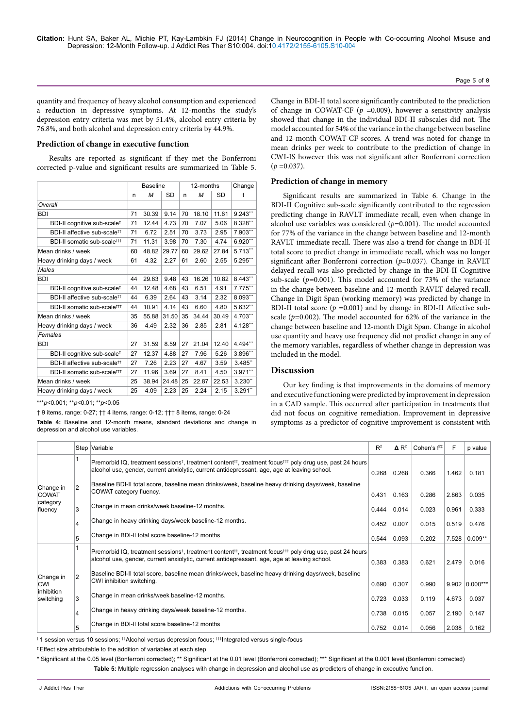quantity and frequency of heavy alcohol consumption and experienced a reduction in depressive symptoms. At 12-months the study's depression entry criteria was met by 51.4%, alcohol entry criteria by 76.8%, and both alcohol and depression entry criteria by 44.9%.

#### **Prediction of change in executive function**

Results are reported as significant if they met the Bonferroni corrected p-value and significant results are summarized in Table 5.

|                                          | <b>Baseline</b> |       |           |    | 12-months      | Change |                        |
|------------------------------------------|-----------------|-------|-----------|----|----------------|--------|------------------------|
|                                          | n               | M     | <b>SD</b> | n  | <b>SD</b><br>M |        | t                      |
| Overall                                  |                 |       |           |    |                |        |                        |
| BDI                                      | 71              | 30.39 | 9.14      | 70 | 18.10          | 11.61  | 9.243'''               |
| BDI-II cognitive sub-scale <sup>†</sup>  | 71              | 12.44 | 4.73      | 70 | 7.07           | 5.06   | 8.328                  |
| BDI-II affective sub-scale <sup>tt</sup> | 71              | 6.72  | 2.51      | 70 | 3.73           | 2.95   | 7.903**                |
| BDI-II somatic sub-scale <sup>†††</sup>  | 71              | 11.31 | 3.98      | 70 | 7.30           | 4.74   | $6.920$ <sup>***</sup> |
| Mean drinks / week                       | 60              | 48.82 | 29.77     | 60 | 29.62          | 27.84  | $5.713$ <sup>***</sup> |
| Heavy drinking days / week               | 61              | 4.32  | 2.27      | 61 | 2.60           | 2.55   | 5.295"                 |
| Males                                    |                 |       |           |    |                |        |                        |
| <b>BDI</b>                               |                 | 29.63 | 9.48      | 43 | 16.26          | 10.82  | 8.443**                |
| BDI-II cognitive sub-scale <sup>†</sup>  | 44              | 12.48 | 4.68      | 43 | 6.51           | 4.91   | $7.775$ "              |
| BDI-II affective sub-scale <sup>tt</sup> | 44              | 6.39  | 2.64      | 43 | 3.14           | 2.32   | $8.093$ ***            |
| BDI-II somatic sub-scale <sup>†††</sup>  | 44              | 10.91 | 4.14      | 43 | 6.60           | 4.80   | 5.632**                |
| Mean drinks / week                       | 35              | 55.88 | 31.50     | 35 | 34.44          | 30.49  | 4.703**                |
| Heavy drinking days / week               | 36              | 4.49  | 2.32      | 36 | 2.85           | 2.81   | 4.128'''               |
| Females                                  |                 |       |           |    |                |        |                        |
| <b>BDI</b>                               | 27              | 31.59 | 8.59      | 27 | 21.04          | 12.40  | $4.494$ <sup>**</sup>  |
| BDI-II cognitive sub-scale <sup>†</sup>  | 27              | 12.37 | 4.88      | 27 | 7.96           | 5.26   | 3.896**                |
| BDI-II affective sub-scale <sup>tt</sup> | 27              | 7.26  | 2.23      | 27 | 4.67           | 3.59   | 3.485"                 |
| BDI-II somatic sub-scale <sup>†††</sup>  | 27              | 11.96 | 3.69      | 27 | 8.41           | 4.50   | 3.971"                 |
| Mean drinks / week                       | 25              | 38.94 | 24.48     | 25 | 22.87          | 22.53  | 3.230"                 |
| Heavy drinking days / week               |                 | 4.09  | 2.23      | 25 | 2.24           | 2.15   | 3.291"                 |

\*\*\**p*<0.001; \*\**p*<0.01; \*\**p*<0.05

† 9 items, range: 0-27; †† 4 items, range: 0-12; ††† 8 items, range: 0-24

**Table 4:** Baseline and 12-month means, standard deviations and change in depression and alcohol use variables.

Change in BDI-II total score significantly contributed to the prediction of change in COWAT-CF (*p =*0.009), however a sensitivity analysis showed that change in the individual BDI-II subscales did not. The model accounted for 54% of the variance in the change between baseline and 12-month COWAT-CF scores. A trend was noted for change in mean drinks per week to contribute to the prediction of change in CWI-IS however this was not significant after Bonferroni correction  $(p = 0.037)$ .

#### **Prediction of change in memory**

Significant results are summarized in Table 6. Change in the BDI-II Cognitive sub-scale significantly contributed to the regression predicting change in RAVLT immediate recall, even when change in alcohol use variables was considered (*p=*0.001). The model accounted for 77% of the variance in the change between baseline and 12-month RAVLT immediate recall. There was also a trend for change in BDI-II total score to predict change in immediate recall, which was no longer significant after Bonferroni correction (*p*=0.037). Change in RAVLT delayed recall was also predicted by change in the BDI-II Cognitive sub-scale (*p=*0.001). This model accounted for 73% of the variance in the change between baseline and 12-month RAVLT delayed recall. Change in Digit Span (working memory) was predicted by change in BDI-II total score (*p =*0.001) and by change in BDI-II Affective subscale (*p=*0.002). The model accounted for 62% of the variance in the change between baseline and 12-month Digit Span. Change in alcohol use quantity and heavy use frequency did not predict change in any of the memory variables, regardless of whether change in depression was included in the model.

## **Discussion**

Our key finding is that improvements in the domains of memory and executive functioning were predicted by improvement in depression in a CAD sample. This occurred after participation in treatments that did not focus on cognitive remediation. Improvement in depressive symptoms as a predictor of cognitive improvement is consistent with

|                                                    |                | Step Variable                                                                                                                                                                                                                                 | $R^2$ | $\mathbf{\Delta} \mathbf{R}^2$ | Cohen's $f^{2\ddagger}$ | F     | p value            |
|----------------------------------------------------|----------------|-----------------------------------------------------------------------------------------------------------------------------------------------------------------------------------------------------------------------------------------------|-------|--------------------------------|-------------------------|-------|--------------------|
|                                                    |                | Premorbid IQ, treatment sessions <sup>†</sup> , treatment content <sup>††</sup> , treatment focus <sup>†††</sup> poly drug use, past 24 hours<br>alcohol use, gender, current anxiolytic, current antidepressant, age, age at leaving school. | 0.268 | 0.268                          | 0.366                   | 1.462 | 0.181              |
| Change in<br><b>COWAT</b>                          | $\overline{2}$ | Baseline BDI-II total score, baseline mean drinks/week, baseline heavy drinking days/week, baseline<br>COWAT category fluency.<br>0.431                                                                                                       |       | 0.163                          | 0.286                   | 2.863 | 0.035              |
| category<br>fluency                                | 3              | Change in mean drinks/week baseline-12 months.                                                                                                                                                                                                | 0.444 | 0.014                          | 0.023                   | 0.961 | 0.333              |
|                                                    | 4              | Change in heavy drinking days/week baseline-12 months.                                                                                                                                                                                        | 0.452 | 0.007                          | 0.015                   | 0.519 | 0.476              |
|                                                    | 5              | Change in BDI-II total score baseline-12 months                                                                                                                                                                                               | 0.544 | 0.093                          | 0.202                   | 7.528 | $0.009**$          |
| Change in<br><b>CWI</b><br>inhibition<br>switching |                | Premorbid IQ, treatment sessions <sup>†</sup> , treatment content <sup>††</sup> , treatment focus <sup>†††</sup> poly drug use, past 24 hours<br>alcohol use, gender, current anxiolytic, current antidepressant, age, age at leaving school. | 0.383 | 0.383                          | 0.621                   | 2.479 | 0.016              |
|                                                    | $\overline{2}$ | Baseline BDI-II total score, baseline mean drinks/week, baseline heavy drinking days/week, baseline<br>CWI inhibition switching.                                                                                                              |       | 0.307                          | 0.990                   |       | $9.902   0.000***$ |
|                                                    | 3              | Change in mean drinks/week baseline-12 months.                                                                                                                                                                                                | 0.723 | 0.033                          | 0.119                   | 4.673 | 0.037              |
|                                                    | 4              | Change in heavy drinking days/week baseline-12 months.                                                                                                                                                                                        | 0.738 | 0.015                          | 0.057                   | 2.190 | 0.147              |
|                                                    | 5              | Change in BDI-II total score baseline-12 months                                                                                                                                                                                               | 0.752 | 0.014                          | 0.056                   | 2.038 | 0.162              |

† 1 session versus 10 sessions; ††Alcohol versus depression focus; †††Integrated versus single-focus

‡ Effect size attributable to the addition of variables at each step

\* Significant at the 0.05 level (Bonferroni corrected); \*\* Significant at the 0.01 level (Bonferroni corrected); \*\*\* Significant at the 0.001 level (Bonferroni corrected) **Table 5:** Multiple regression analyses with change in depression and alcohol use as predictors of change in executive function.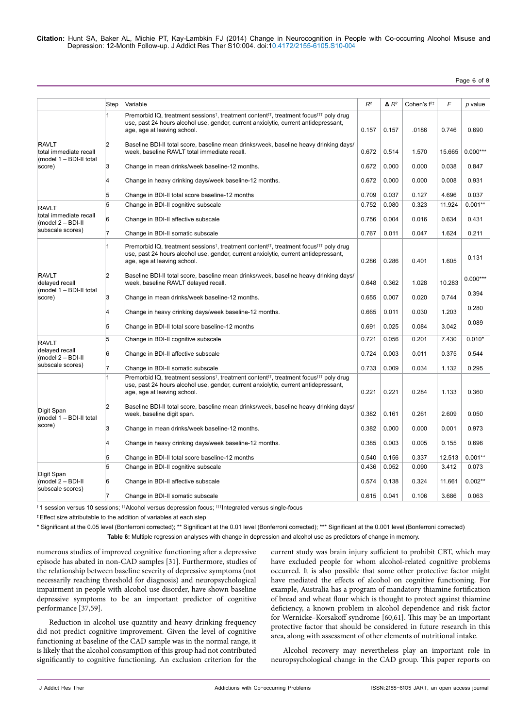# Page 6 of 8

|                                                                             | Step           | Variable                                                                                                                                                                                                                                         | $R^2$ | $\Delta R^2$ | Cohen's $f^{2+}$ | F      | p value    |
|-----------------------------------------------------------------------------|----------------|--------------------------------------------------------------------------------------------------------------------------------------------------------------------------------------------------------------------------------------------------|-------|--------------|------------------|--------|------------|
|                                                                             | 1              | Premorbid IQ, treatment sessions <sup>†</sup> , treatment content <sup>††</sup> , treatment focus <sup>†††</sup> poly drug<br>use, past 24 hours alcohol use, gender, current anxiolytic, current antidepressant,<br>age, age at leaving school. | 0.157 | 0.157        | .0186            | 0.746  | 0.690      |
| <b>RAVLT</b><br>total immediate recall<br>(model 1 - BDI-II total<br>score) | $\overline{2}$ | Baseline BDI-II total score, baseline mean drinks/week, baseline heavy drinking days/<br>week, baseline RAVLT total immediate recall.                                                                                                            | 0.672 | 0.514        | 1.570            | 15.665 | $0.000***$ |
|                                                                             | 3              | Change in mean drinks/week baseline-12 months.                                                                                                                                                                                                   | 0.672 | 0.000        | 0.000            | 0.038  | 0.847      |
|                                                                             | 4              | Change in heavy drinking days/week baseline-12 months.                                                                                                                                                                                           | 0.672 | 0.000        | 0.000            | 0.008  | 0.931      |
|                                                                             | 5              | Change in BDI-II total score baseline-12 months                                                                                                                                                                                                  | 0.709 | 0.037        | 0.127            | 4.696  | 0.037      |
| <b>RAVLT</b>                                                                | 5              | Change in BDI-II cognitive subscale                                                                                                                                                                                                              | 0.752 | 0.080        | 0.323            | 11.924 | $0.001**$  |
| total immediate recall<br>$(model 2 - BDI-II$                               | 6              | Change in BDI-II affective subscale                                                                                                                                                                                                              | 0.756 | 0.004        | 0.016            | 0.634  | 0.431      |
| subscale scores)                                                            | $\overline{7}$ | Change in BDI-II somatic subscale                                                                                                                                                                                                                | 0.767 | 0.011        | 0.047            | 1.624  | 0.211      |
|                                                                             | 1              | Premorbid IQ, treatment sessions <sup>†</sup> , treatment content <sup>††</sup> , treatment focus <sup>†††</sup> poly drug<br>use, past 24 hours alcohol use, gender, current anxiolytic, current antidepressant,<br>age, age at leaving school. | 0.286 | 0.286        | 0.401            | 1.605  | 0.131      |
| <b>RAVLT</b><br>delayed recall                                              | $\overline{2}$ | Baseline BDI-II total score, baseline mean drinks/week, baseline heavy drinking days/<br>week, baseline RAVLT delayed recall.                                                                                                                    | 0.648 | 0.362        | 1.028            | 10.283 | $0.000***$ |
| (model 1 - BDI-II total<br>score)                                           | 3              | Change in mean drinks/week baseline-12 months.                                                                                                                                                                                                   | 0.655 | 0.007        | 0.020            | 0.744  | 0.394      |
|                                                                             | 4              | Change in heavy drinking days/week baseline-12 months.                                                                                                                                                                                           | 0.665 | 0.011        | 0.030            | 1.203  | 0.280      |
|                                                                             | 5              | Change in BDI-II total score baseline-12 months                                                                                                                                                                                                  | 0.691 | 0.025        | 0.084            | 3.042  | 0.089      |
| <b>RAVLT</b>                                                                | 5              | Change in BDI-II cognitive subscale                                                                                                                                                                                                              | 0.721 | 0.056        | 0.201            | 7.430  | $0.010*$   |
| delayed recall<br>(model 2 - BDI-II                                         | 6              | Change in BDI-II affective subscale                                                                                                                                                                                                              | 0.724 | 0.003        | 0.011            | 0.375  | 0.544      |
| subscale scores)                                                            | $\overline{7}$ | Change in BDI-II somatic subscale                                                                                                                                                                                                                | 0.733 | 0.009        | 0.034            | 1.132  | 0.295      |
|                                                                             | $\mathbf{1}$   | Premorbid IQ, treatment sessions <sup>†</sup> , treatment content <sup>††</sup> , treatment focus <sup>†††</sup> poly drug<br>use, past 24 hours alcohol use, gender, current anxiolytic, current antidepressant,<br>age, age at leaving school. | 0.221 | 0.221        | 0.284            | 1.133  | 0.360      |
| Digit Span<br>(model 1 - BDI-II total                                       | $\overline{2}$ | Baseline BDI-II total score, baseline mean drinks/week, baseline heavy drinking days/<br>week, baseline digit span.                                                                                                                              | 0.382 | 0.161        | 0.261            | 2.609  | 0.050      |
| score)                                                                      | 3              | Change in mean drinks/week baseline-12 months.                                                                                                                                                                                                   | 0.382 | 0.000        | 0.000            | 0.001  | 0.973      |
|                                                                             | 4              | Change in heavy drinking days/week baseline-12 months.                                                                                                                                                                                           | 0.385 | 0.003        | 0.005            | 0.155  | 0.696      |
|                                                                             | 5              | Change in BDI-II total score baseline-12 months                                                                                                                                                                                                  | 0.540 | 0.156        | 0.337            | 12.513 | $0.001**$  |
|                                                                             | 5              | Change in BDI-II cognitive subscale                                                                                                                                                                                                              | 0.436 | 0.052        | 0.090            | 3.412  | 0.073      |
| Digit Span<br>(model 2 - BDI-II<br>subscale scores)                         | 6              | Change in BDI-II affective subscale                                                                                                                                                                                                              | 0.574 | 0.138        | 0.324            | 11.661 | $0.002**$  |
|                                                                             | $\overline{7}$ | Change in BDI-II somatic subscale                                                                                                                                                                                                                | 0.615 | 0.041        | 0.106            | 3.686  | 0.063      |
|                                                                             |                |                                                                                                                                                                                                                                                  |       |              |                  |        |            |

† 1 session versus 10 sessions; ††Alcohol versus depression focus; †††Integrated versus single-focus

‡ Effect size attributable to the addition of variables at each step

\* Significant at the 0.05 level (Bonferroni corrected); \*\* Significant at the 0.01 level (Bonferroni corrected); \*\*\* Significant at the 0.001 level (Bonferroni corrected) **Table 6:** Multiple regression analyses with change in depression and alcohol use as predictors of change in memory.

numerous studies of improved cognitive functioning after a depressive episode has abated in non-CAD samples [31]. Furthermore, studies of the relationship between baseline severity of depressive symptoms (not necessarily reaching threshold for diagnosis) and neuropsychological impairment in people with alcohol use disorder, have shown baseline depressive symptoms to be an important predictor of cognitive performance [37,59].

Reduction in alcohol use quantity and heavy drinking frequency did not predict cognitive improvement. Given the level of cognitive functioning at baseline of the CAD sample was in the normal range, it is likely that the alcohol consumption of this group had not contributed significantly to cognitive functioning. An exclusion criterion for the

current study was brain injury sufficient to prohibit CBT, which may have excluded people for whom alcohol-related cognitive problems occurred. It is also possible that some other protective factor might have mediated the effects of alcohol on cognitive functioning. For example, Australia has a program of mandatory thiamine fortification of bread and wheat flour which is thought to protect against thiamine deficiency, a known problem in alcohol dependence and risk factor for Wernicke–Korsakoff syndrome [60,61]. This may be an important protective factor that should be considered in future research in this area, along with assessment of other elements of nutritional intake.

Alcohol recovery may nevertheless play an important role in neuropsychological change in the CAD group. This paper reports on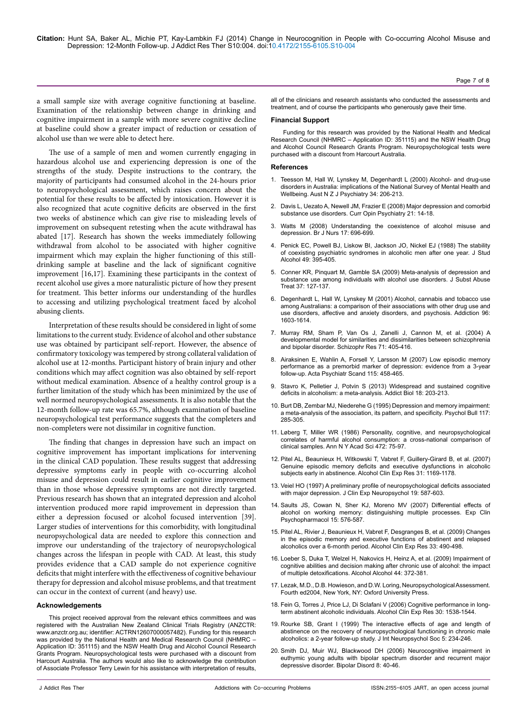a small sample size with average cognitive functioning at baseline. Examination of the relationship between change in drinking and cognitive impairment in a sample with more severe cognitive decline at baseline could show a greater impact of reduction or cessation of alcohol use than we were able to detect here.

The use of a sample of men and women currently engaging in hazardous alcohol use and experiencing depression is one of the strengths of the study. Despite instructions to the contrary, the majority of participants had consumed alcohol in the 24-hours prior to neuropsychological assessment, which raises concern about the potential for these results to be affected by intoxication. However it is also recognized that acute cognitive deficits are observed in the first two weeks of abstinence which can give rise to misleading levels of improvement on subsequent retesting when the acute withdrawal has abated [17]. Research has shown the weeks immediately following withdrawal from alcohol to be associated with higher cognitive impairment which may explain the higher functioning of this stilldrinking sample at baseline and the lack of significant cognitive improvement [16,17]. Examining these participants in the context of recent alcohol use gives a more naturalistic picture of how they present for treatment. This better informs our understanding of the hurdles to accessing and utilizing psychological treatment faced by alcohol abusing clients.

Interpretation of these results should be considered in light of some limitations to the current study. Evidence of alcohol and other substance use was obtained by participant self-report. However, the absence of confirmatory toxicology was tempered by strong collateral validation of alcohol use at 12-months. Participant history of brain injury and other conditions which may affect cognition was also obtained by self-report without medical examination. Absence of a healthy control group is a further limitation of the study which has been minimized by the use of well normed neuropsychological assessments. It is also notable that the 12-month follow-up rate was 65.7%, although examination of baseline neuropsychological test performance suggests that the completers and non-completers were not dissimilar in cognitive function.

The finding that changes in depression have such an impact on cognitive improvement has important implications for intervening in the clinical CAD population. These results suggest that addressing depressive symptoms early in people with co-occurring alcohol misuse and depression could result in earlier cognitive improvement than in those whose depressive symptoms are not directly targeted. Previous research has shown that an integrated depression and alcohol intervention produced more rapid improvement in depression than either a depression focused or alcohol focused intervention [39]. Larger studies of interventions for this comorbidity, with longitudinal neuropsychological data are needed to explore this connection and improve our understanding of the trajectory of neuropsychological changes across the lifespan in people with CAD. At least, this study provides evidence that a CAD sample do not experience cognitive deficits that might interfere with the effectiveness of cognitive behaviour therapy for depression and alcohol misuse problems, and that treatment can occur in the context of current (and heavy) use.

#### **Acknowledgements**

This project received approval from the relevant ethics committees and was registered with the Australian New Zealand Clinical Trials Registry (ANZCTR: [www.anzctr.org.au](file:///E:\www.anzctr.org.au); identifier: ACTRN12607000057482). Funding for this research was provided by the National Health and Medical Research Council (NHMRC – Application ID: 351115) and the NSW Health Drug and Alcohol Council Research Grants Program. Neuropsychological tests were purchased with a discount from Harcourt Australia. The authors would also like to acknowledge the contribution of Associate Professor Terry Lewin for his assistance with interpretation of results,

all of the clinicians and research assistants who conducted the assessments and treatment, and of course the participants who generously gave their time.

#### **Financial Support**

Funding for this research was provided by the National Health and Medical Research Council (NHMRC – Application ID: 351115) and the NSW Health Drug and Alcohol Council Research Grants Program. Neuropsychological tests were purchased with a discount from Harcourt Australia.

#### **References**

- 1. [Teesson M, Hall W, Lynskey M, Degenhardt L \(2000\) Alcohol- and drug-use](http://www.ncbi.nlm.nih.gov/pubmed/10789525)  [disorders in Australia: implications of the National Survey of Mental Health and](http://www.ncbi.nlm.nih.gov/pubmed/10789525)  [Wellbeing. Aust N Z J Psychiatry 34: 206-213.](http://www.ncbi.nlm.nih.gov/pubmed/10789525)
- 2. [Davis L, Uezato A, Newell JM, Frazier E \(2008\) Major depression and comorbid](http://www.ncbi.nlm.nih.gov/pubmed/18281835)  [substance use disorders. Curr Opin Psychiatry 21: 14-18.](http://www.ncbi.nlm.nih.gov/pubmed/18281835)
- Watts M (2008) Understanding the coexistence of alcohol misuse and [depression. Br J Nurs 17: 696-699.](http://www.ncbi.nlm.nih.gov/pubmed/18773584)
- 4. [Penick EC, Powell BJ, Liskow BI, Jackson JO, Nickel EJ \(1988\) The stability](http://www.ncbi.nlm.nih.gov/pubmed/3270510)  [of coexisting psychiatric syndromes in alcoholic men after one year. J Stud](http://www.ncbi.nlm.nih.gov/pubmed/3270510)  [Alcohol 49: 395-405.](http://www.ncbi.nlm.nih.gov/pubmed/3270510)
- 5. [Conner KR, Pinquart M, Gamble SA \(2009\) Meta-analysis of depression and](http://www.ncbi.nlm.nih.gov/pubmed/19150207)  [substance use among individuals with alcohol use disorders. J Subst Abuse](http://www.ncbi.nlm.nih.gov/pubmed/19150207)  [Treat 37: 127-137.](http://www.ncbi.nlm.nih.gov/pubmed/19150207)
- 6. [Degenhardt L, Hall W, Lynskey M \(2001\) Alcohol, cannabis and tobacco use](http://www.ncbi.nlm.nih.gov/pubmed/11784457)  [among Australians: a comparison of their associations with other drug use and](http://www.ncbi.nlm.nih.gov/pubmed/11784457)  [use disorders, affective and anxiety disorders, and psychosis. Addiction 96:](http://www.ncbi.nlm.nih.gov/pubmed/11784457)  [1603-1614.](http://www.ncbi.nlm.nih.gov/pubmed/11784457)
- 7. [Murray RM, Sham P, Van Os J, Zanelli J, Cannon M, et al. \(2004\) A](http://www.ncbi.nlm.nih.gov/pubmed/15474912)  [developmental model for similarities and dissimilarities between schizophrenia](http://www.ncbi.nlm.nih.gov/pubmed/15474912)  [and bipolar disorder. Schizophr Res 71: 405-416.](http://www.ncbi.nlm.nih.gov/pubmed/15474912)
- 8. [Airaksinen E, Wahlin A, Forsell Y, Larsson M \(2007\) Low episodic memory](http://www.ncbi.nlm.nih.gov/pubmed/17498157)  [performance as a premorbid marker of depression: evidence from a 3-year](http://www.ncbi.nlm.nih.gov/pubmed/17498157)  [follow-up. Acta Psychiatr Scand 115: 458-465.](http://www.ncbi.nlm.nih.gov/pubmed/17498157)
- 9. [Stavro K, Pelletier J, Potvin S \(2013\) Widespread and sustained cognitive](http://www.ncbi.nlm.nih.gov/pubmed/22264351)  [deficits in alcoholism: a meta-analysis. Addict Biol 18: 203-213.](http://www.ncbi.nlm.nih.gov/pubmed/22264351)
- 10. [Burt DB, Zembar MJ, Niederehe G \(1995\) Depression and memory impairment:](http://www.ncbi.nlm.nih.gov/pubmed/7724692)  [a meta-analysis of the association, its pattern, and specificity. Psychol Bull 117:](http://www.ncbi.nlm.nih.gov/pubmed/7724692)  [285-305.](http://www.ncbi.nlm.nih.gov/pubmed/7724692)
- 11. [Løberg T, Miller WR \(1986\) Personality, cognitive, and neuropsychological](http://www.ncbi.nlm.nih.gov/pubmed/3467621)  [correlates of harmful alcohol consumption: a cross-national comparison of](http://www.ncbi.nlm.nih.gov/pubmed/3467621)  [clinical samples. Ann N Y Acad Sci 472: 75-97.](http://www.ncbi.nlm.nih.gov/pubmed/3467621)
- 12. [Pitel AL, Beaunieux H, Witkowski T, Vabret F, Guillery-Girard B, et al. \(2007\)](http://www.ncbi.nlm.nih.gov/pubmed/17511749)  [Genuine episodic memory deficits and executive dysfunctions in alcoholic](http://www.ncbi.nlm.nih.gov/pubmed/17511749)  [subjects early in abstinence. Alcohol Clin Exp Res 31: 1169-1178.](http://www.ncbi.nlm.nih.gov/pubmed/17511749)
- 13. [Veiel HO \(1997\) A preliminary profile of neuropsychological deficits associated](http://www.ncbi.nlm.nih.gov/pubmed/9342691)  [with major depression. J Clin Exp Neuropsychol 19: 587-603.](http://www.ncbi.nlm.nih.gov/pubmed/9342691)
- 14. [Saults JS, Cowan N, Sher KJ, Moreno MV \(2007\) Differential effects of](http://www.ncbi.nlm.nih.gov/pubmed/18179311)  [alcohol on working memory: distinguishing multiple processes. Exp Clin](http://www.ncbi.nlm.nih.gov/pubmed/18179311)  [Psychopharmacol 15: 576-587.](http://www.ncbi.nlm.nih.gov/pubmed/18179311)
- 15. [Pitel AL, Rivier J, Beaunieux H, Vabret F, Desgranges B, et al. \(2009\) Changes](http://www.ncbi.nlm.nih.gov/pubmed/19120052)  [in the episodic memory and executive functions of abstinent and relapsed](http://www.ncbi.nlm.nih.gov/pubmed/19120052)  [alcoholics over a 6-month period. Alcohol Clin Exp Res 33: 490-498.](http://www.ncbi.nlm.nih.gov/pubmed/19120052)
- 16. [Loeber S, Duka T, Welzel H, Nakovics H, Heinz A, et al. \(2009\) Impairment of](http://www.ncbi.nlm.nih.gov/pubmed/19487491)  [cognitive abilities and decision making after chronic use of alcohol: the impact](http://www.ncbi.nlm.nih.gov/pubmed/19487491)  [of multiple detoxifications. Alcohol Alcohol 44: 372-381.](http://www.ncbi.nlm.nih.gov/pubmed/19487491)
- 17. Lezak, M.D., D.B. Howieson, and D.W. Loring, Neuropsychological Assessment. Fourth ed2004, New York, NY: Oxford University Press.
- 18. [Fein G, Torres J, Price LJ, Di Sclafani V \(2006\) Cognitive performance in long](http://www.ncbi.nlm.nih.gov/pubmed/16930216)[term abstinent alcoholic individuals. Alcohol Clin Exp Res 30: 1538-1544.](http://www.ncbi.nlm.nih.gov/pubmed/16930216)
- 19. [Rourke SB, Grant I \(1999\) The interactive effects of age and length of](http://www.ncbi.nlm.nih.gov/pubmed/10217923)  abstinence on the recovery of neuropsychological functioning in chronic male [alcoholics: a 2-year follow-up study. J Int Neuropsychol Soc 5: 234-246.](http://www.ncbi.nlm.nih.gov/pubmed/10217923)
- 20. [Smith DJ, Muir WJ, Blackwood DH \(2006\) Neurocognitive impairment in](http://www.ncbi.nlm.nih.gov/pubmed/16411979)  [euthymic young adults with bipolar spectrum disorder and recurrent major](http://www.ncbi.nlm.nih.gov/pubmed/16411979)  [depressive disorder. Bipolar Disord 8: 40-46.](http://www.ncbi.nlm.nih.gov/pubmed/16411979)